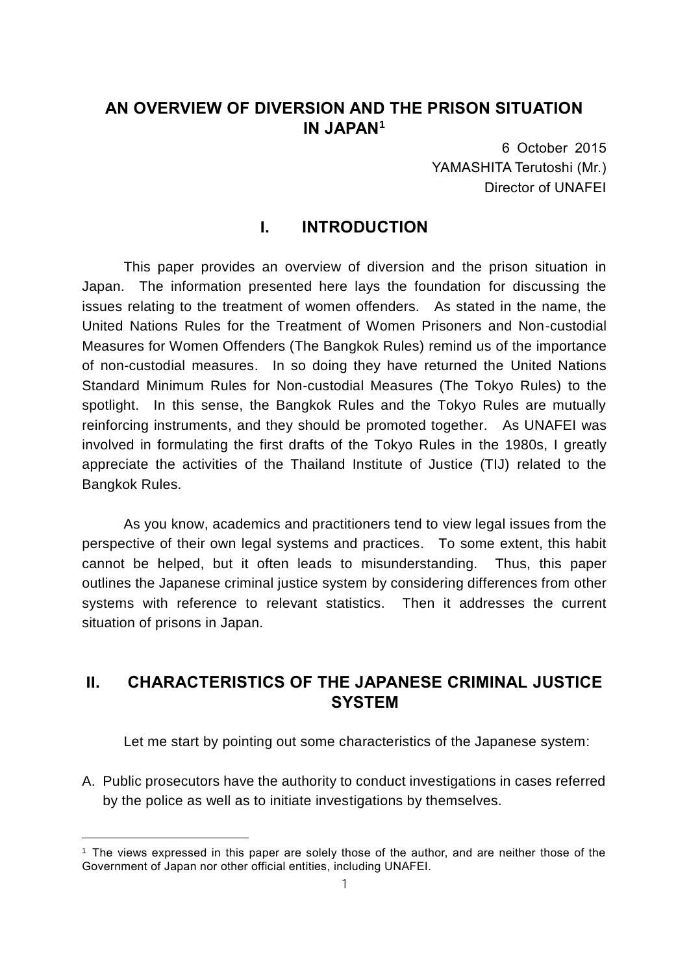## **AN OVERVIEW OF DIVERSION AND THE PRISON SITUATION IN JAPAN<sup>1</sup>**

6 October 2015 YAMASHITA Terutoshi (Mr.) Director of UNAFEI

## **I. INTRODUCTION**

This paper provides an overview of diversion and the prison situation in Japan. The information presented here lays the foundation for discussing the issues relating to the treatment of women offenders. As stated in the name, the United Nations Rules for the Treatment of Women Prisoners and Non-custodial Measures for Women Offenders (The Bangkok Rules) remind us of the importance of non-custodial measures. In so doing they have returned the United Nations Standard Minimum Rules for Non-custodial Measures (The Tokyo Rules) to the spotlight. In this sense, the Bangkok Rules and the Tokyo Rules are mutually reinforcing instruments, and they should be promoted together. As UNAFEI was involved in formulating the first drafts of the Tokyo Rules in the 1980s, I greatly appreciate the activities of the Thailand Institute of Justice (TIJ) related to the Bangkok Rules.

As you know, academics and practitioners tend to view legal issues from the perspective of their own legal systems and practices. To some extent, this habit cannot be helped, but it often leads to misunderstanding. Thus, this paper outlines the Japanese criminal justice system by considering differences from other systems with reference to relevant statistics. Then it addresses the current situation of prisons in Japan.

# **II. CHARACTERISTICS OF THE JAPANESE CRIMINAL JUSTICE SYSTEM**

Let me start by pointing out some characteristics of the Japanese system:

A. Public prosecutors have the authority to conduct investigations in cases referred by the police as well as to initiate investigations by themselves.

<sup>1</sup> The views expressed in this paper are solely those of the author, and are neither those of the Government of Japan nor other official entities, including UNAFEI.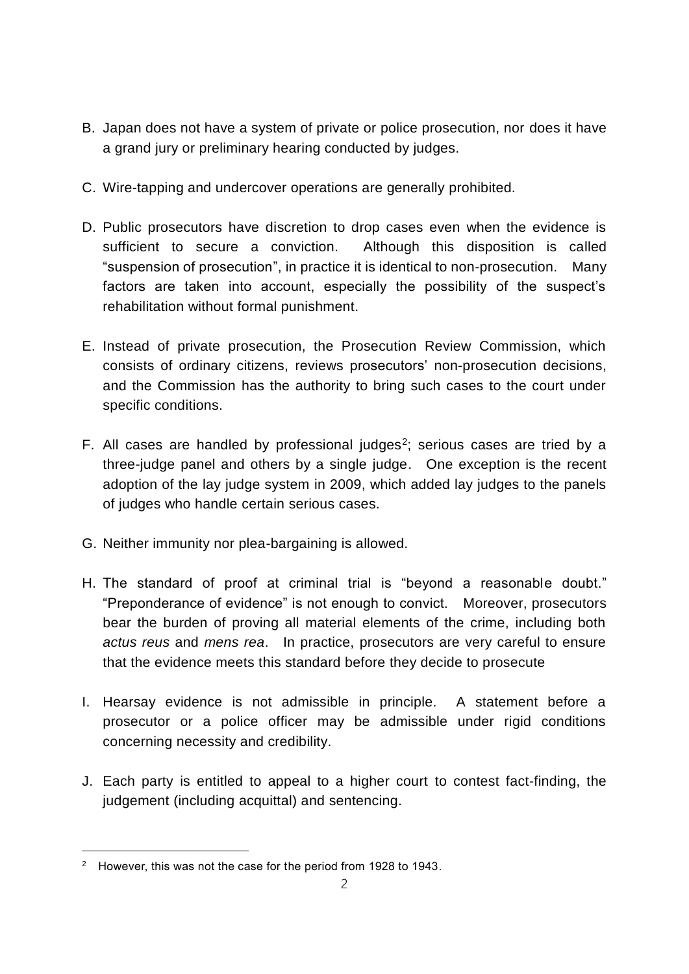- B. Japan does not have a system of private or police prosecution, nor does it have a grand jury or preliminary hearing conducted by judges.
- C. Wire-tapping and undercover operations are generally prohibited.
- D. Public prosecutors have discretion to drop cases even when the evidence is sufficient to secure a conviction. Although this disposition is called "suspension of prosecution", in practice it is identical to non-prosecution. Many factors are taken into account, especially the possibility of the suspect's rehabilitation without formal punishment.
- E. Instead of private prosecution, the Prosecution Review Commission, which consists of ordinary citizens, reviews prosecutors' non-prosecution decisions, and the Commission has the authority to bring such cases to the court under specific conditions.
- F. All cases are handled by professional judges<sup>2</sup>; serious cases are tried by a three-judge panel and others by a single judge. One exception is the recent adoption of the lay judge system in 2009, which added lay judges to the panels of judges who handle certain serious cases.
- G. Neither immunity nor plea-bargaining is allowed.
- H. The standard of proof at criminal trial is "beyond a reasonable doubt." "Preponderance of evidence" is not enough to convict. Moreover, prosecutors bear the burden of proving all material elements of the crime, including both *actus reus* and *mens rea*. In practice, prosecutors are very careful to ensure that the evidence meets this standard before they decide to prosecute
- I. Hearsay evidence is not admissible in principle. A statement before a prosecutor or a police officer may be admissible under rigid conditions concerning necessity and credibility.
- J. Each party is entitled to appeal to a higher court to contest fact-finding, the judgement (including acquittal) and sentencing.

ı

<sup>&</sup>lt;sup>2</sup> However, this was not the case for the period from 1928 to 1943.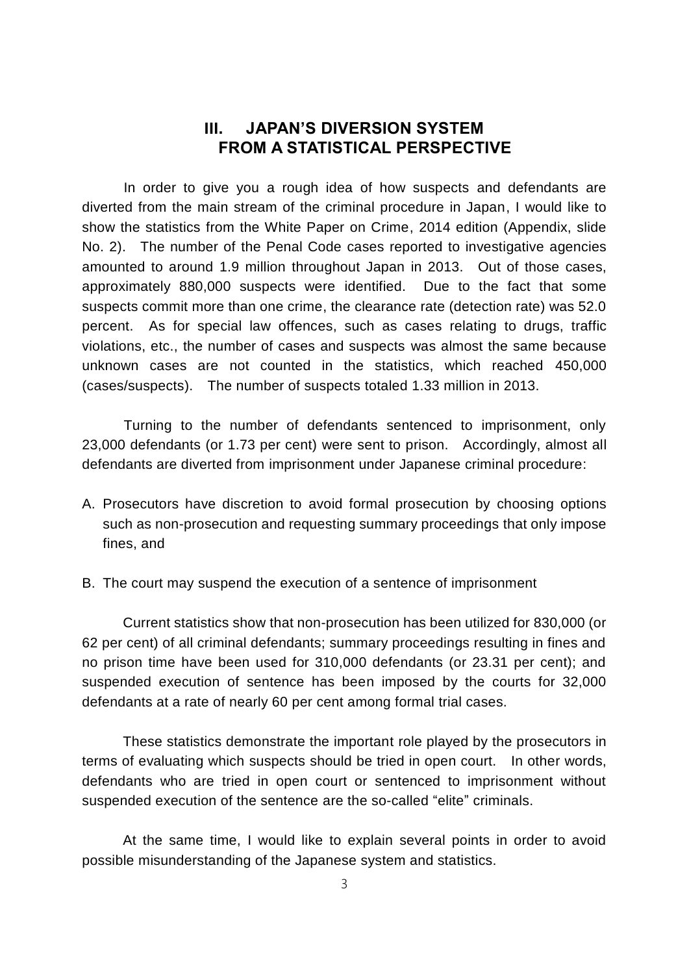# **III. JAPAN'S DIVERSION SYSTEM FROM A STATISTICAL PERSPECTIVE**

In order to give you a rough idea of how suspects and defendants are diverted from the main stream of the criminal procedure in Japan, I would like to show the statistics from the White Paper on Crime, 2014 edition (Appendix, slide No. 2). The number of the Penal Code cases reported to investigative agencies amounted to around 1.9 million throughout Japan in 2013. Out of those cases, approximately 880,000 suspects were identified. Due to the fact that some suspects commit more than one crime, the clearance rate (detection rate) was 52.0 percent. As for special law offences, such as cases relating to drugs, traffic violations, etc., the number of cases and suspects was almost the same because unknown cases are not counted in the statistics, which reached 450,000 (cases/suspects). The number of suspects totaled 1.33 million in 2013.

Turning to the number of defendants sentenced to imprisonment, only 23,000 defendants (or 1.73 per cent) were sent to prison. Accordingly, almost all defendants are diverted from imprisonment under Japanese criminal procedure:

- A. Prosecutors have discretion to avoid formal prosecution by choosing options such as non-prosecution and requesting summary proceedings that only impose fines, and
- B. The court may suspend the execution of a sentence of imprisonment

Current statistics show that non-prosecution has been utilized for 830,000 (or 62 per cent) of all criminal defendants; summary proceedings resulting in fines and no prison time have been used for 310,000 defendants (or 23.31 per cent); and suspended execution of sentence has been imposed by the courts for 32,000 defendants at a rate of nearly 60 per cent among formal trial cases.

These statistics demonstrate the important role played by the prosecutors in terms of evaluating which suspects should be tried in open court. In other words, defendants who are tried in open court or sentenced to imprisonment without suspended execution of the sentence are the so-called "elite" criminals.

At the same time, I would like to explain several points in order to avoid possible misunderstanding of the Japanese system and statistics.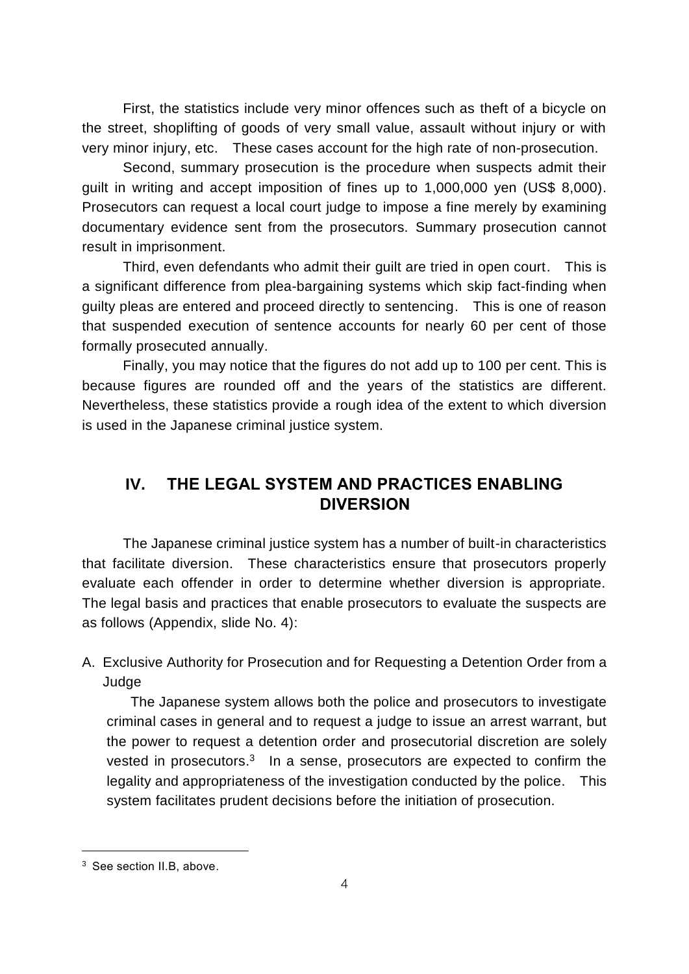First, the statistics include very minor offences such as theft of a bicycle on the street, shoplifting of goods of very small value, assault without injury or with very minor injury, etc. These cases account for the high rate of non-prosecution.

Second, summary prosecution is the procedure when suspects admit their guilt in writing and accept imposition of fines up to 1,000,000 yen (US\$ 8,000). Prosecutors can request a local court judge to impose a fine merely by examining documentary evidence sent from the prosecutors. Summary prosecution cannot result in imprisonment.

Third, even defendants who admit their guilt are tried in open court. This is a significant difference from plea-bargaining systems which skip fact-finding when guilty pleas are entered and proceed directly to sentencing. This is one of reason that suspended execution of sentence accounts for nearly 60 per cent of those formally prosecuted annually.

Finally, you may notice that the figures do not add up to 100 per cent. This is because figures are rounded off and the years of the statistics are different. Nevertheless, these statistics provide a rough idea of the extent to which diversion is used in the Japanese criminal justice system.

# **IV. THE LEGAL SYSTEM AND PRACTICES ENABLING DIVERSION**

The Japanese criminal justice system has a number of built-in characteristics that facilitate diversion. These characteristics ensure that prosecutors properly evaluate each offender in order to determine whether diversion is appropriate. The legal basis and practices that enable prosecutors to evaluate the suspects are as follows (Appendix, slide No. 4):

A. Exclusive Authority for Prosecution and for Requesting a Detention Order from a Judge

The Japanese system allows both the police and prosecutors to investigate criminal cases in general and to request a judge to issue an arrest warrant, but the power to request a detention order and prosecutorial discretion are solely vested in prosecutors. $3$  In a sense, prosecutors are expected to confirm the legality and appropriateness of the investigation conducted by the police. This system facilitates prudent decisions before the initiation of prosecution.

ı

<sup>3</sup> See section II.B, above.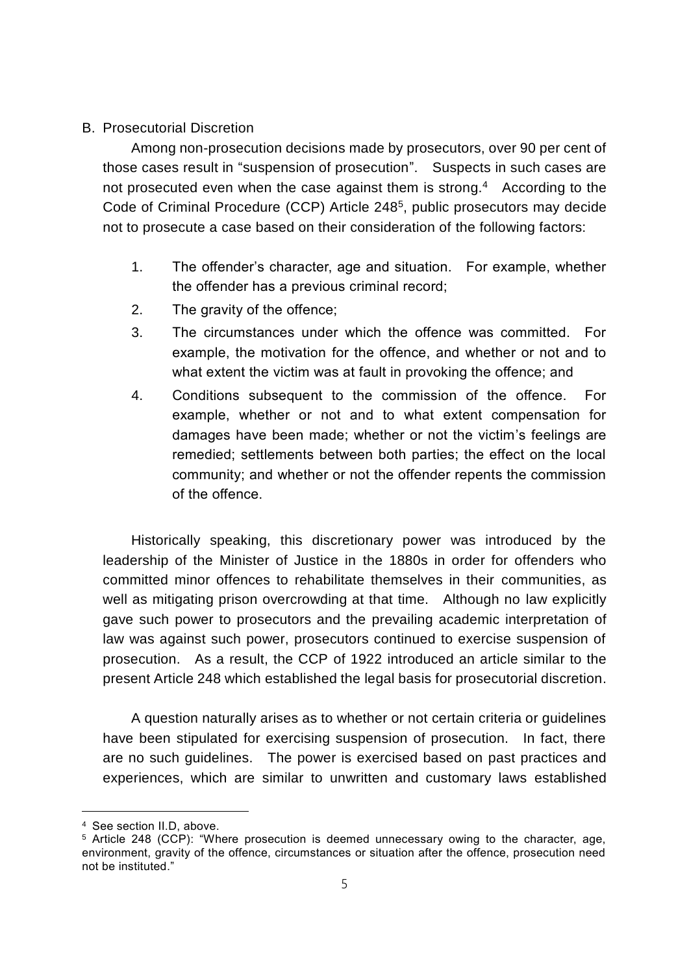### B. Prosecutorial Discretion

Among non-prosecution decisions made by prosecutors, over 90 per cent of those cases result in "suspension of prosecution". Suspects in such cases are not prosecuted even when the case against them is strong.<sup>4</sup> According to the Code of Criminal Procedure (CCP) Article 248<sup>5</sup> , public prosecutors may decide not to prosecute a case based on their consideration of the following factors:

- 1. The offender's character, age and situation. For example, whether the offender has a previous criminal record;
- 2. The gravity of the offence;
- 3. The circumstances under which the offence was committed. For example, the motivation for the offence, and whether or not and to what extent the victim was at fault in provoking the offence; and
- 4. Conditions subsequent to the commission of the offence. For example, whether or not and to what extent compensation for damages have been made; whether or not the victim's feelings are remedied; settlements between both parties; the effect on the local community; and whether or not the offender repents the commission of the offence.

Historically speaking, this discretionary power was introduced by the leadership of the Minister of Justice in the 1880s in order for offenders who committed minor offences to rehabilitate themselves in their communities, as well as mitigating prison overcrowding at that time. Although no law explicitly gave such power to prosecutors and the prevailing academic interpretation of law was against such power, prosecutors continued to exercise suspension of prosecution. As a result, the CCP of 1922 introduced an article similar to the present Article 248 which established the legal basis for prosecutorial discretion.

A question naturally arises as to whether or not certain criteria or guidelines have been stipulated for exercising suspension of prosecution. In fact, there are no such guidelines. The power is exercised based on past practices and experiences, which are similar to unwritten and customary laws established

<sup>4</sup> See section II.D, above.

<sup>5</sup> Article 248 (CCP): "Where prosecution is deemed unnecessary owing to the character, age, environment, gravity of the offence, circumstances or situation after the offence, prosecution need not be instituted."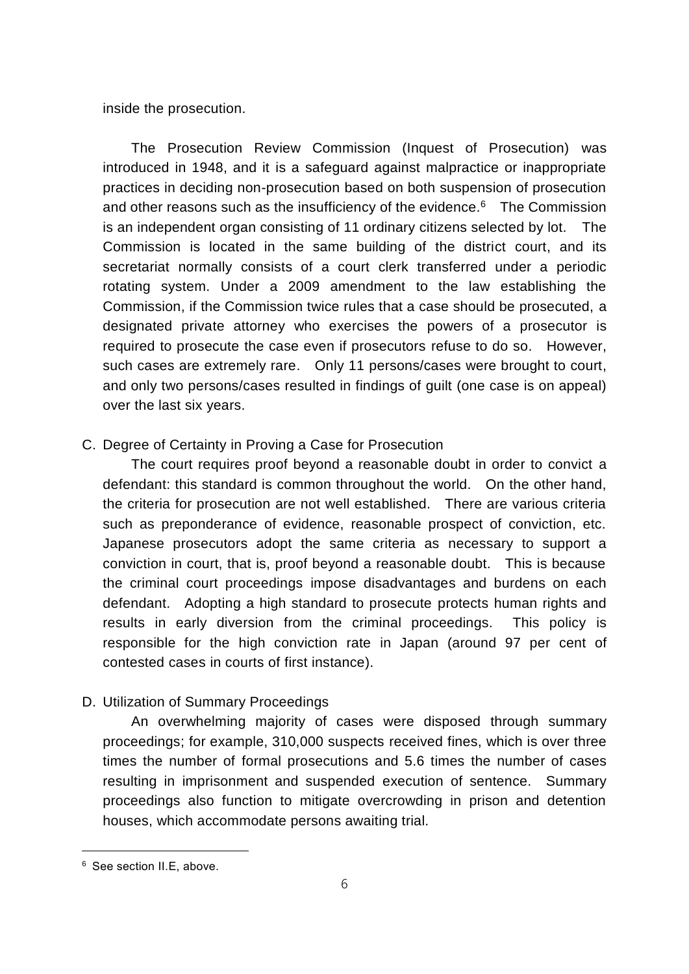inside the prosecution.

The Prosecution Review Commission (Inquest of Prosecution) was introduced in 1948, and it is a safeguard against malpractice or inappropriate practices in deciding non-prosecution based on both suspension of prosecution and other reasons such as the insufficiency of the evidence. <sup>6</sup> The Commission is an independent organ consisting of 11 ordinary citizens selected by lot. The Commission is located in the same building of the district court, and its secretariat normally consists of a court clerk transferred under a periodic rotating system. Under a 2009 amendment to the law establishing the Commission, if the Commission twice rules that a case should be prosecuted, a designated private attorney who exercises the powers of a prosecutor is required to prosecute the case even if prosecutors refuse to do so. However, such cases are extremely rare. Only 11 persons/cases were brought to court, and only two persons/cases resulted in findings of guilt (one case is on appeal) over the last six years.

### C. Degree of Certainty in Proving a Case for Prosecution

The court requires proof beyond a reasonable doubt in order to convict a defendant: this standard is common throughout the world. On the other hand, the criteria for prosecution are not well established. There are various criteria such as preponderance of evidence, reasonable prospect of conviction, etc. Japanese prosecutors adopt the same criteria as necessary to support a conviction in court, that is, proof beyond a reasonable doubt. This is because the criminal court proceedings impose disadvantages and burdens on each defendant. Adopting a high standard to prosecute protects human rights and results in early diversion from the criminal proceedings. This policy is responsible for the high conviction rate in Japan (around 97 per cent of contested cases in courts of first instance).

### D. Utilization of Summary Proceedings

An overwhelming majority of cases were disposed through summary proceedings; for example, 310,000 suspects received fines, which is over three times the number of formal prosecutions and 5.6 times the number of cases resulting in imprisonment and suspended execution of sentence. Summary proceedings also function to mitigate overcrowding in prison and detention houses, which accommodate persons awaiting trial.

ı

<sup>6</sup> See section II.E, above.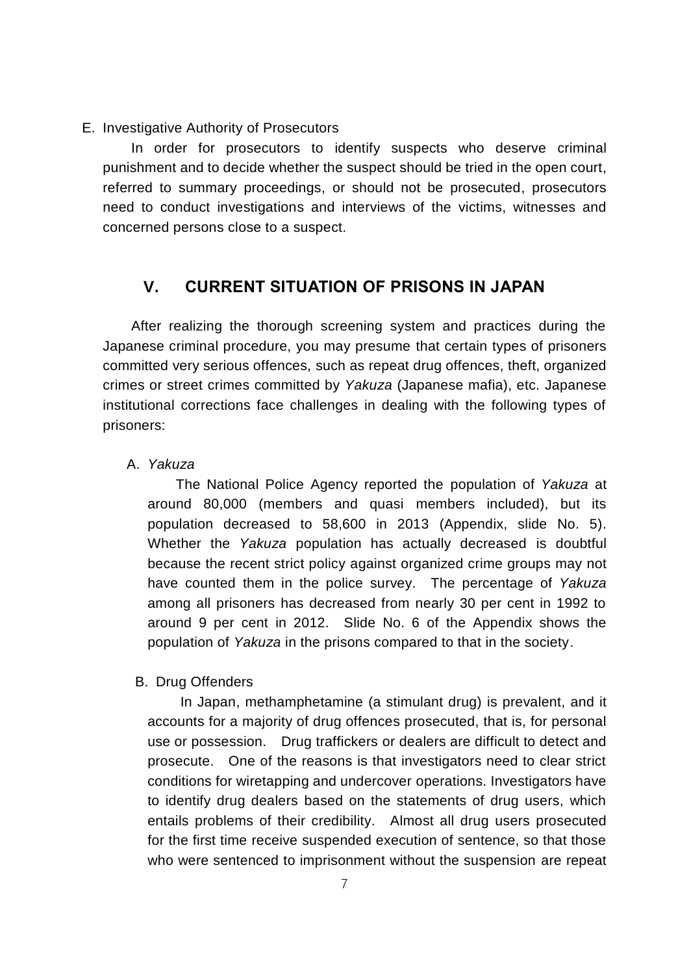#### E. Investigative Authority of Prosecutors

In order for prosecutors to identify suspects who deserve criminal punishment and to decide whether the suspect should be tried in the open court, referred to summary proceedings, or should not be prosecuted, prosecutors need to conduct investigations and interviews of the victims, witnesses and concerned persons close to a suspect.

### **V. CURRENT SITUATION OF PRISONS IN JAPAN**

After realizing the thorough screening system and practices during the Japanese criminal procedure, you may presume that certain types of prisoners committed very serious offences, such as repeat drug offences, theft, organized crimes or street crimes committed by *Yakuza* (Japanese mafia), etc. Japanese institutional corrections face challenges in dealing with the following types of prisoners:

### A. *Yakuza*

The National Police Agency reported the population of *Yakuza* at around 80,000 (members and quasi members included), but its population decreased to 58,600 in 2013 (Appendix, slide No. 5). Whether the *Yakuza* population has actually decreased is doubtful because the recent strict policy against organized crime groups may not have counted them in the police survey. The percentage of *Yakuza* among all prisoners has decreased from nearly 30 per cent in 1992 to around 9 per cent in 2012. Slide No. 6 of the Appendix shows the population of *Yakuza* in the prisons compared to that in the society.

#### B. Drug Offenders

In Japan, methamphetamine (a stimulant drug) is prevalent, and it accounts for a majority of drug offences prosecuted, that is, for personal use or possession. Drug traffickers or dealers are difficult to detect and prosecute. One of the reasons is that investigators need to clear strict conditions for wiretapping and undercover operations. Investigators have to identify drug dealers based on the statements of drug users, which entails problems of their credibility. Almost all drug users prosecuted for the first time receive suspended execution of sentence, so that those who were sentenced to imprisonment without the suspension are repeat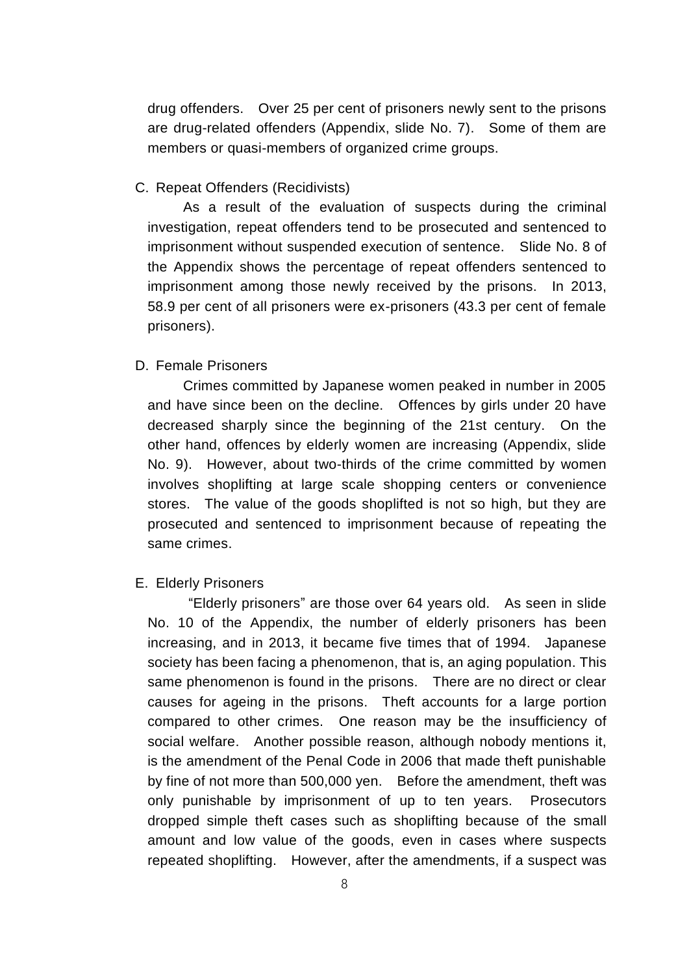drug offenders. Over 25 per cent of prisoners newly sent to the prisons are drug-related offenders (Appendix, slide No. 7). Some of them are members or quasi-members of organized crime groups.

#### C. Repeat Offenders (Recidivists)

As a result of the evaluation of suspects during the criminal investigation, repeat offenders tend to be prosecuted and sentenced to imprisonment without suspended execution of sentence. Slide No. 8 of the Appendix shows the percentage of repeat offenders sentenced to imprisonment among those newly received by the prisons. In 2013, 58.9 per cent of all prisoners were ex-prisoners (43.3 per cent of female prisoners).

#### D. Female Prisoners

Crimes committed by Japanese women peaked in number in 2005 and have since been on the decline. Offences by girls under 20 have decreased sharply since the beginning of the 21st century. On the other hand, offences by elderly women are increasing (Appendix, slide No. 9). However, about two-thirds of the crime committed by women involves shoplifting at large scale shopping centers or convenience stores. The value of the goods shoplifted is not so high, but they are prosecuted and sentenced to imprisonment because of repeating the same crimes.

#### E. Elderly Prisoners

"Elderly prisoners" are those over 64 years old. As seen in slide No. 10 of the Appendix, the number of elderly prisoners has been increasing, and in 2013, it became five times that of 1994. Japanese society has been facing a phenomenon, that is, an aging population. This same phenomenon is found in the prisons. There are no direct or clear causes for ageing in the prisons. Theft accounts for a large portion compared to other crimes. One reason may be the insufficiency of social welfare. Another possible reason, although nobody mentions it, is the amendment of the Penal Code in 2006 that made theft punishable by fine of not more than 500,000 yen. Before the amendment, theft was only punishable by imprisonment of up to ten years. Prosecutors dropped simple theft cases such as shoplifting because of the small amount and low value of the goods, even in cases where suspects repeated shoplifting. However, after the amendments, if a suspect was